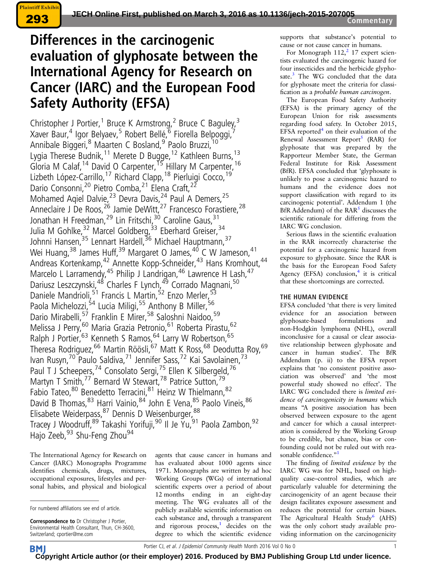# Differences in the carcinogenic evaluation of glyphosate between the International Agency for Research on Cancer (IARC) and the European Food Safety Authority (EFSA)

Christopher J Portier,<sup>1</sup> Bruce K Armstrong,<sup>2</sup> Bruce C Baguley,<sup>3</sup> Xaver Baur,<sup>4</sup> Igor Belyaev,<sup>5</sup> Robert Bellé, <sup>6</sup> Fiorella Belpoggi, 7 Annibale Biggeri, <sup>8</sup> Maarten C Bosland, <sup>9</sup> Paolo Bruzzi, <sup>10</sup> Lygia Therese Budnik,<sup>11</sup> Merete D Bugge,<sup>12</sup> Kathleen Burns,<sup>13</sup> Gloria M Calaf, <sup>14</sup> David O Carpenter, <sup>15</sup> Hillary M Carpenter, <sup>16</sup> Lizbeth López-Carrillo, <sup>17</sup> Richard Clapp, <sup>18</sup> Pierluigi Cocco, <sup>19</sup> Dario Consonni,<sup>20</sup> Pietro Comba,<sup>21</sup> Elena Craft,<sup>22</sup> Mohamed Aqiel Dalvie,<sup>23</sup> Devra Davis,<sup>24</sup> Paul A Demers,<sup>25</sup> Anneclaire J De Roos, <sup>26</sup> Jamie DeWitt, <sup>27</sup> Francesco Forastiere, <sup>28</sup> Jonathan H Freedman,<sup>29</sup> Lin Fritschi,<sup>30</sup> Caroline Gaus,<sup>31</sup> Julia M Gohlke,<sup>32</sup> Marcel Goldberg,<sup>33</sup> Eberhard Greiser,<sup>34</sup> Johnni Hansen,<sup>35</sup> Lennart Hardell,<sup>36</sup> Michael Hauptmann,<sup>37</sup> Wei Huang,<sup>38</sup> James Huff,<sup>39</sup> Margaret O James,<sup>40</sup> C W Jameson,<sup>41</sup> Andreas Kortenkamp, <sup>42</sup> Annette Kopp-Schneider, <sup>43</sup> Hans Kromhout, <sup>44</sup> Marcelo L Larramendy, <sup>45</sup> Philip J Landrigan, <sup>46</sup> Lawrence H Lash, <sup>47</sup> Dariusz Leszczynski,<sup>48</sup> Charles F Lynch,<sup>49</sup> Corrado Magnani,<sup>50</sup> Daniele Mandrioli, <sup>51</sup> Francis L Martin, <sup>52</sup> Enzo Merler, <sup>53</sup> Paola Michelozzi,<sup>54</sup> Lucia Miligi,<sup>55</sup> Anthony B Miller,<sup>56</sup> Dario Mirabelli, <sup>57</sup> Franklin E Mirer, <sup>58</sup> Saloshni Naidoo, <sup>59</sup> Melissa J Perry, <sup>60</sup> Maria Grazia Petronio, <sup>61</sup> Roberta Pirastu, <sup>62</sup> Ralph J Portier, <sup>63</sup> Kenneth S Ramos, <sup>64</sup> Larry W Robertson, <sup>65</sup> Theresa Rodriguez, <sup>66</sup> Martin Röösli, <sup>67</sup> Matt K Ross, <sup>68</sup> Deodutta Roy, <sup>69</sup> Ivan Rusyn,<sup>70</sup> Paulo Saldiva,<sup>71</sup> Jennifer Sass,<sup>72</sup> Kai Savolainen,<sup>73</sup> Paul T J Scheepers, 74 Consolato Sergi, 75 Ellen K Silbergeld, 76 Martyn T Smith, 77 Bernard W Stewart, <sup>78</sup> Patrice Sutton, 79 Fabio Tateo, <sup>80</sup> Benedetto Terracini, <sup>81</sup> Heinz W Thielmann, 82 David B Thomas, <sup>83</sup> Harri Vainio, 84 John E Vena, 85 Paolo Vineis, 86 Elisabete Weiderpass, 87 Dennis D Weisenburger, Tracey J Woodruff, <sup>89</sup> Takashi Yorifuji, <sup>90</sup> Il Je Yu, <sup>91</sup> Paola Zambon, <sup>92</sup> Hajo Zeeb, <sup>93</sup> Shu-Feng Zhou<sup>94</sup>

The International Agency for Research on Cancer (IARC) Monographs Programme identifies chemicals, drugs, mixtures, occupational exposures, lifestyles and personal habits, and physical and biological

agents that cause cancer in humans and has evaluated about 1000 agents since 1971. Monographs are written by ad hoc Working Groups (WGs) of international scientific experts over a period of about 12 months ending in an eight-day meeting. The WG evaluates all of the publicly available scientific information on each substance and, through a transparent and rigorous process, $<sup>1</sup>$  $<sup>1</sup>$  $<sup>1</sup>$  decides on the</sup> degree to which the scientific evidence

supports that substance's potential to cause or not cause cancer in humans.

For Monograph  $112<sub>1</sub><sup>2</sup>$  $112<sub>1</sub><sup>2</sup>$  $112<sub>1</sub><sup>2</sup>$  17 expert scientists evaluated the carcinogenic hazard for four insecticides and the herbicide glypho-sate.<sup>[3](#page-4-0)</sup> The WG concluded that the data for glyphosate meet the criteria for classification as a probable human carcinogen.

The European Food Safety Authority (EFSA) is the primary agency of the European Union for risk assessments regarding food safety. In October 2015, EFSA reported $4$  on their evaluation of the Renewal Assessment Report<sup>5</sup> (RAR) for glyphosate that was prepared by the Rapporteur Member State, the German Federal Institute for Risk Assessment (BfR). EFSA concluded that 'glyphosate is unlikely to pose a carcinogenic hazard to humans and the evidence does not support classification with regard to its carcinogenic potential'. Addendum 1 (the BfR Addendum) of the  $RAR<sup>5</sup>$  $RAR<sup>5</sup>$  $RAR<sup>5</sup>$  discusses the scientific rationale for differing from the IARC WG conclusion.

Serious flaws in the scientific evaluation in the RAR incorrectly characterise the potential for a carcinogenic hazard from exposure to glyphosate. Since the RAR is the basis for the European Food Safety Agency (EFSA) conclusion, $4$  it is critical that these shortcomings are corrected.

# THE HUMAN EVIDENCE

EFSA concluded 'that there is very limited evidence for an association between glyphosate-based formulations and non-Hodgkin lymphoma (NHL), overall inconclusive for a causal or clear associative relationship between glyphosate and cancer in human studies'. The BfR Addendum (p. ii) to the EFSA report explains that 'no consistent positive association was observed' and 'the most powerful study showed no effect'. The IARC WG concluded there is limited evidence of carcinogenicity in humans which means "A positive association has been observed between exposure to the agent and cancer for which a causal interpretation is considered by the Working Group to be credible, but chance, bias or confounding could not be ruled out with rea-sonable confidence."<sup>[1](#page-3-0)</sup>

The finding of limited evidence by the IARC WG was for NHL, based on highquality case–control studies, which are particularly valuable for determining the carcinogenicity of an agent because their design facilitates exposure assessment and reduces the potential for certain biases. The Agricultural Health Study<sup>[6](#page-4-0)</sup> (AHS) was the only cohort study available providing information on the carcinogenicity

For numbered affiliations see end of article.

Correspondence to Dr Christopher J Portier, Environmental Health Consultant, Thun, CH-3600, Switzerland; cportier@me.com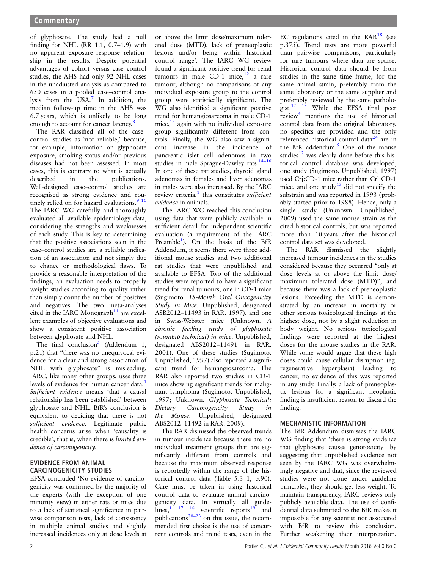of glyphosate. The study had a null finding for [NHL](https://www.baumhedlundlaw.com/toxic-tort-law/monsanto-roundup-lawsuit/) (RR 1.1, 0.7–1.9) with no apparent exposure–response relationship in the results. Despite potential advantages of cohort versus case–control studies, the AHS had only 92 NHL cases in the unadjusted analysis as compared to 650 cases in a pooled case–control analysis from the USA. $^7$  In addition, the median follow-up time in the AHS was 6.7 years, which is unlikely to be long enough to account for cancer latency.<sup>[8](#page-4-0)</sup>

The RAR classified all of the case– control studies as 'not reliable,' because, for example, information on glyphosate exposure, smoking status and/or previous diseases had not been assessed. In most cases, this is contrary to what is actually described in the publications. Well-designed case–control studies are recognised as strong evidence and routinely relied on for hazard evaluations.<sup>9</sup> <sup>10</sup> The IARC WG carefully and thoroughly evaluated all available epidemiology data, considering the strengths and weaknesses of each study. This is key to determining that the positive associations seen in the case–control studies are a reliable indication of an association and not simply due to chance or methodological flaws. To provide a reasonable interpretation of the findings, an evaluation needs to properly weight studies according to quality rather than simply count the number of positives and negatives. The two meta-analyses cited in the IARC Monograph<sup>[11](#page-4-0)</sup> are excellent examples of objective evaluations and show a consistent positive association between glyphosate and NHL.

The final conclusion<sup>[5](#page-4-0)</sup> (Addendum 1, p.21) that "there was no unequivocal evidence for a clear and strong association of NHL with glyphosate" is misleading. IARC, like many other groups, uses three levels of evidence for human cancer data.<sup>[1](#page-3-0)</sup> Sufficient evidence means 'that a causal relationship has been established' between glyphosate and NHL. BfR's conclusion is equivalent to deciding that there is not sufficient evidence. Legitimate public health concerns arise when 'causality is credible', that is, when there is limited evidence of carcinogenicity.

### EVIDENCE FROM ANIMAL CARCINOGENICITY STUDIES

EFSA concluded 'No evidence of carcinogenicity was confirmed by the majority of the experts (with the exception of one minority view) in either rats or mice due to a lack of statistical significance in pairwise comparison tests, lack of consistency in multiple animal studies and slightly increased incidences only at dose levels at

or above the limit dose/maximum tolerated dose (MTD), lack of preneoplastic lesions and/or being within historical control range'. The IARC WG review found a significant positive trend for renal tumours in male  $CD-1$  mice,<sup>[12](#page-4-0)</sup> a rare tumour, although no comparisons of any individual exposure group to the control group were statistically significant. The WG also identified a significant positive trend for hemangiosarcoma in male CD-1 mice, $^{13}$  $^{13}$  $^{13}$  again with no individual exposure group significantly different from controls. Finally, the WG also saw a significant increase in the incidence of pancreatic islet cell adenomas in two studies in male Sprague-Dawley rats.<sup>14-[16](#page-4-0)</sup> In one of these rat studies, thyroid gland adenomas in females and liver adenomas in males were also increased. By the IARC review criteria, $<sup>1</sup>$  $<sup>1</sup>$  $<sup>1</sup>$  this constitutes *sufficient*</sup> evidence in animals.

The IARC WG reached this conclusion using data that were publicly available in sufficient detail for independent scientific evaluation (a requirement of the IARC Preamble<sup>[1](#page-3-0)</sup>). On the basis of the BfR Addendum, it seems there were three additional mouse studies and two additional rat studies that were unpublished and available to EFSA. Two of the additional studies were reported to have a significant trend for renal tumours, one in CD-1 mice (Sugimoto. 18-Month Oral Oncogenicity Study in Mice. Unpublished, designated ASB2012–11493 in RAR. 1997), and one in Swiss-Webster mice (Unknown. A chronic feeding study of glyphosate (roundup technical) in mice. Unpublished, designated ABS2012–11491 in RAR. 2001). One of these studies (Sugimoto. Unpublished, 1997) also reported a significant trend for hemangiosarcoma. The RAR also reported two studies in CD-1 mice showing significant trends for malignant lymphoma (Sugimoto. Unpublished, 1997; Unknown. Glyphosate Technical: Dietary Carcinogencity Study in the Mouse. Unpublished, designated ABS2012–11492 in RAR. 2009).

The RAR dismissed the observed trends in tumour incidence because there are no individual treatment groups that are significantly different from controls and because the maximum observed response is reportedly within the range of the historical control data (Table 5.3–1, p.90). Care must be taken in using historical control data to evaluate animal carcinogenicity data. In virtually all guide- $\lim_{n \to \infty}$ ,  $\lim_{n \to \infty}$  18 scientific reports<sup>[19](#page-4-0)</sup> and publications $20-23$  on this issue, the recommended first choice is the use of concurrent controls and trend tests, even in the

EC regulations cited in the  $RAR<sup>18</sup>$  $RAR<sup>18</sup>$  $RAR<sup>18</sup>$  (see p.375). Trend tests are more powerful than pairwise comparisons, particularly for rare tumours where data are sparse. Historical control data should be from studies in the same time frame, for the same animal strain, preferably from the same laboratory or the same supplier and preferably reviewed by the same patholo- $\frac{17}{2}$   $\frac{18}{18}$  While the EFSA final peer review[4](#page-4-0) mentions the use of historical control data from the original laboratory, no specifics are provided and the only referenced historical control data<sup>[24](#page-4-0)</sup> are in the BfR addendum.<sup>[5](#page-4-0)</sup> One of the mouse studies $^{12}$  $^{12}$  $^{12}$  was clearly done before this historical control database was developed, one study (Sugimoto. Unpublished, 1997) used Crj:CD-1 mice rather than Crl:CD-1 mice, and one study<sup>[13](#page-4-0)</sup> did not specify the substrain and was reported in 1993 (probably started prior to 1988). Hence, only a single study (Unknown. Unpublished, 2009) used the same mouse strain as the cited historical controls, but was reported more than 10 years after the historical control data set was developed.

The RAR dismissed the slightly increased tumour incidences in the studies considered because they occurred "only at dose levels at or above the limit dose/ maximum tolerated dose (MTD)", and because there was a lack of preneoplastic lesions. Exceeding the MTD is demonstrated by an increase in mortality or other serious toxicological findings at the highest dose, not by a slight reduction in body weight. No serious toxicological findings were reported at the highest doses for the mouse studies in the RAR. While some would argue that these high doses could cause cellular disruption (eg, regenerative hyperplasia) leading to cancer, no evidence of this was reported in any study. Finally, a lack of preneoplastic lesions for a significant neoplastic finding is insufficient reason to discard the finding.

## MECHANISTIC INFORMATION

The BfR Addendum dismisses the IARC WG finding that 'there is strong evidence that glyphosate causes genotoxicity' by suggesting that unpublished evidence not seen by the IARC WG was overwhelmingly negative and that, since the reviewed studies were not done under guideline principles, they should get less weight. To maintain transparency, IARC reviews only publicly available data. The use of confidential data submitted to the BfR makes it impossible for any scientist not associated with BfR to review this conclusion. Further weakening their interpretation,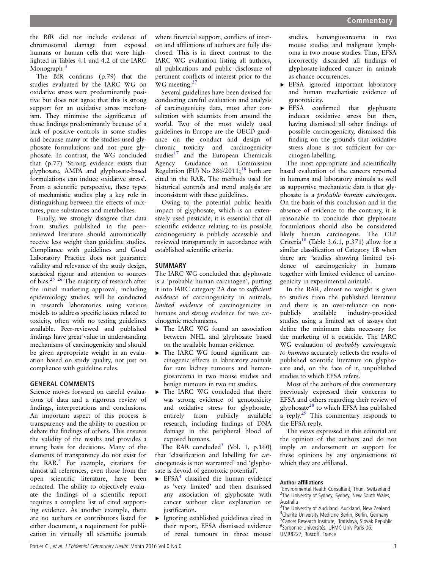the BfR did not include evidence of chromosomal damage from exposed humans or human cells that were highlighted in Tables 4.1 and 4.2 of the IARC Monograph <sup>[3](#page-4-0)</sup>

The BfR confirms (p.79) that the studies evaluated by the IARC WG on oxidative stress were predominantly positive but does not agree that this is strong support for an oxidative stress mechanism. They minimise the significance of these findings predominantly because of a lack of positive controls in some studies and because many of the studies used glyphosate formulations and not pure glyphosate. In contrast, the WG concluded that (p.77) 'Strong evidence exists that glyphosate, AMPA and glyphosate-based formulations can induce oxidative stress'. From a scientific perspective, these types of mechanistic studies play a key role in distinguishing between the effects of mixtures, pure substances and metabolites.

Finally, we strongly disagree that data from studies published in the peerreviewed literature should automatically receive less weight than guideline studies. Compliance with guidelines and Good Laboratory Practice does not guarantee validity and relevance of the study design, statistical rigour and attention to sources of bias.<sup>25</sup> <sup>26</sup> The majority of research after the initial marketing approval, including epidemiology studies, will be conducted in research laboratories using various models to address specific issues related to toxicity, often with no testing guidelines available. Peer-reviewed and published findings have great value in understanding mechanisms of carcinogenicity and should be given appropriate weight in an evaluation based on study quality, not just on compliance with guideline rules.

# GENERAL COMMENTS

Science moves forward on careful evaluations of data and a rigorous review of findings, interpretations and conclusions. An important aspect of this process is transparency and the ability to question or debate the findings of others. This ensures the validity of the results and provides a strong basis for decisions. Many of the elements of transparency do not exist for the RAR. $5$  For example, citations for almost all references, even those from the open scientific literature, have been redacted. The ability to objectively evaluate the findings of a scientific report requires a complete list of cited supporting evidence. As another example, there are no authors or contributors listed for either document, a requirement for publication in virtually all scientific journals

where financial support, conflicts of interest and affiliations of authors are fully disclosed. This is in direct contrast to the IARC WG evaluation listing all authors, all publications and public disclosure of pertinent conflicts of interest prior to the  $WG$  meeting.<sup>[27](#page-4-0)</sup>

Several guidelines have been devised for conducting careful evaluation and analysis of carcinogenicity data, most after consultation with scientists from around the world. Two of the most widely used guidelines in Europe are the OECD guidance on the conduct and design of chronic toxicity and carcinogenicity studies<sup>[17](#page-4-0)</sup> and the European Chemicals Agency Guidance on Commission Regulation (EU) No  $286/2011$ ;<sup>18</sup> both are cited in the RAR. The methods used for historical controls and trend analysis are inconsistent with these guidelines.

Owing to the potential public health impact of glyphosate, which is an extensively used pesticide, it is essential that all scientific evidence relating to its possible carcinogenicity is publicly accessible and reviewed transparently in accordance with established scientific criteria.

## **SUMMARY**

The IARC WG concluded that glyphosate is a 'probable human carcinogen', putting it into IARC category 2A due to sufficient evidence of carcinogenicity in animals, limited evidence of carcinogenicity in humans and strong evidence for two carcinogenic mechanisms.

- ▸ The IARC WG found an association between NHL and glyphosate based on the available human evidence.
- ▸ The IARC WG found significant carcinogenic effects in laboratory animals for rare kidney tumours and hemangiosarcoma in two mouse studies and benign tumours in two rat studies.
- ▸ The IARC WG concluded that there was strong evidence of genotoxicity and oxidative stress for glyphosate, entirely from publicly available research, including findings of DNA damage in the peripheral blood of exposed humans.

The RAR concluded<sup>5</sup> (Vol. 1, p.160) that 'classification and labelling for carcinogenesis is not warranted' and 'glyphosate is devoid of genotoxic potential'.

- $\triangleright$  EFSA<sup>[4](#page-4-0)</sup> classified the human evidence as 'very limited' and then dismissed any association of glyphosate with cancer without clear explanation or justification.
- ▸ Ignoring established guidelines cited in their report, EFSA dismissed evidence of renal tumours in three mouse

studies, hemangiosarcoma in two mouse studies and malignant lymphoma in two mouse studies. Thus, EFSA incorrectly discarded all findings of glyphosate-induced cancer in animals as chance occurrences.

- ▸ EFSA ignored important laboratory and human mechanistic evidence of genotoxicity.
- ▸ EFSA confirmed that glyphosate induces oxidative stress but then, having dismissed all other findings of possible carcinogenicity, dismissed this finding on the grounds that oxidative stress alone is not sufficient for carcinogen labelling.

The most appropriate and scientifically based evaluation of the cancers reported in humans and laboratory animals as well as supportive mechanistic data is that glyphosate is a probable human carcinogen. On the basis of this conclusion and in the absence of evidence to the contrary, it is reasonable to conclude that glyphosate formulations should also be considered likely human carcinogens. The CLP Criteria<sup>[18](#page-4-0)</sup> (Table 3.6.1, p.371) allow for a similar classification of Category 1B when there are 'studies showing limited evidence of carcinogenicity in humans together with limited evidence of carcinogenicity in experimental animals'.

In the RAR, almost no weight is given to studies from the published literature and there is an over-reliance on nonpublicly available industry-provided studies using a limited set of assays that define the minimum data necessary for the marketing of a pesticide. The IARC WG evaluation of probably carcinogenic to humans accurately reflects the results of published scientific literature on glyphosate and, on the face of it, unpublished studies to which EFSA refers.

Most of the authors of this commentary previously expressed their concerns to EFSA and others regarding their review of glyphosate<sup>[28](#page-4-0)</sup> to which EFSA has published  $\frac{1}{2}$  a reply.<sup>[29](#page-4-0)</sup> This commentary responds to the EFSA reply.

The views expressed in this editorial are the opinion of the authors and do not imply an endorsement or support for these opinions by any organisations to which they are affiliated.

#### Author affiliations <sup>1</sup>

Environmental Health Consultant, Thun, Switzerland <sup>2</sup>The University of Sydney, Sydney, New South Wales, Australia

<sup>3</sup>The University of Auckland, Auckland, New Zealand 4 Charité University Medicine Berlin, Berlin, Germany 5 Cancer Research Institute, Bratislava, Slovak Republic 6 Sorbonne Universités, UPMC Univ Paris 06, UMR8227, Roscoff, France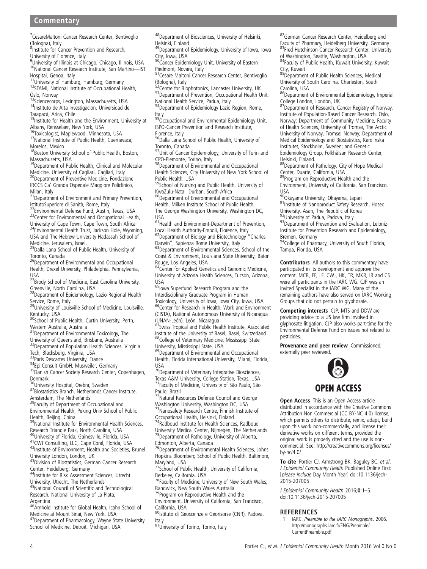<span id="page-3-0"></span><sup>7</sup> CesareMaltoni Cancer Research Center, Bentivoglio (Bologna), Italy

<sup>8</sup>Institute for Cancer Prevention and Research,

University of Florence, Italy

<sup>9</sup>University of Illinois at Chicago, Chicago, Illinois, USA 10National Cancer Research Institute, San Martino—IST Hospital, Genoa, Italy<br><sup>11</sup>University of Hamburg, Hamburg, Germany

<sup>12</sup>STAMI, National Institute of Occupational Health, Oslo, Norway<br><sup>13</sup>Sciencecorps, Lexington, Massachusetts, USA

<sup>14</sup>Instituto de Alta Investigación, Universidad de Tarapacá, Arica, Chile

<sup>15</sup>Institute for Health and the Environment, University at

Albany, Rensselaer, New York, USA<br><sup>16</sup>Toxicologist, Maplewood, Minnesota, USA

<sup>17</sup>National Institute of Public Health, Cuernavaca,

Morelos, Mexico

18Boston University School of Public Health, Boston, Massachusetts, USA

<sup>19</sup>Department of Public Health, Clinical and Molecular Medicine, University of Cagliari, Cagliari, Italy 20Department of Preventive Medicine, Fondazione IRCCS Ca' Granda Ospedale Maggiore Policlinico, Milan, Italy

<sup>21</sup>Department of Environment and Primary Prevention,

IstitutoSuperiore di Sanità, Rome, Italy<br><sup>22</sup>Environmental Defense Fund, Austin, Texas, USA <sup>23</sup>Center for Environmental and Occupational Health, University of Cape Town, Cape Town, South Africa <sup>24</sup>Environmental Health Trust, Jackson Hole, Wyoming,

USA and The Hebrew University Hadassah School of Medicine, Jerusalem, Israel. <sup>25</sup>Dalla Lana School of Public Health, University of

Toronto, Canada

<sup>26</sup>Department of Environmental and Occupational Health, Drexel University, Philadelphia, Pennsylvania, USA

<sup>27</sup>Brody School of Medicine, East Carolina University, Greenville, North Carolina, USA

28Department of Epidemiology, Lazio Regional Health Service, Rome, Italy

29University of Louisville School of Medicine, Louisville, Kentucky, USA

30School of Public Health, Curtin University, Perth, Western Australia, Australia

<sup>31</sup>Department of Environmental Toxicology, The

University of Queensland, Brisbane, Australia <sup>32</sup>Department of Population Health Sciences, Virginia

Tech, Blacksburg, Virginia, USA<br><sup>33</sup> Paris Descartes University, France

<sup>34</sup>Epi.Consult GmbH, Musweiler, Germany<br><sup>35</sup>Danish Cancer Society Research Center, Copenhagen,

Denmark<br><sup>36</sup>University Hospital, Orebra, Sweden

 $37B$ iostatistics Branch, Netherlands Cancer Institute,

Amsterdam, The Netherlands<br><sup>38</sup>Faculty of Department of Occupational and Environmental Health, Peking Univ School of Public

Health, Beijing, China

39National Institute for Environmental Health Sciences, Research Triangle Park, North Carolina, USA<br><sup>40</sup>University of Florida, Gainesville, Florida, USA

<sup>41</sup>CWJ Consulting, LLC, Cape Coral, Florida, USA <sup>42</sup>Institute of Environment, Health and Societies, Brunel

University London, London, UK<br><sup>43</sup>Division of Biostatistics, German Cancer Research

Center, Heidelberg, Germany 44Institute for Risk Assessment Sciences, Utrecht University, Utrecht, The Netherlands

45National Council of Scientific and Technological Research, National University of La Plata,

Argentina<br><sup>46</sup>Arnhold Institute for Global Health, Icahn School of Medicine at Mount Sinai, New York, USA 47Department of Pharmacology, Wayne State University School of Medicine, Detroit, Michigan, USA

48Department of Biosciences, University of Helsinki, Helsinki, Finland

49 Department of Epidemiology, University of Iowa, Iowa

City, Iowa, USA 50Cancer Epidemiology Unit, University of Eastern Piedmont, Novara, Italy

51 Cesare Maltoni Cancer Research Center, Bentivoglio

Ebologna), Italy<br><sup>52</sup>Centre for Biophotonics, Lancaster University, UK 53 Department of Prevention, Occupational Health Unit,

National Health Service, Padua, Italy 54Department of Epidemiology Lazio Region, Rome,

Italy

nca.,<br><sup>55</sup>Occupational and Environmental Epidemiology Unit, ISPO-Cancer Prevention and Research Institute,

Florence, Italy 56Dalla Lana School of Public Health, University of

Toronto, Canada

57Unit of Cancer Epidemiology, University of Turin and CPO-Piemonte, Torino, Italy

58Department of Environmental and Occupational Health Sciences, City University of New York School of Public Health, USA

59School of Nursing and Public Health, University of KwaZulu-Natal, Durban, South Africa

60Department of Environmental and Occupational Health, Milken Institute School of Public Health, The George Washington University, Washington DC, USA

<sup>61</sup>Health and Environment-Department of Prevention, Local Health Authority-Empoli, Florence, Italy

<sup>62</sup>Department of Biology and Biotechnology "Charles<br>Darwin", Sapienza Rome University, Italy

<sup>63</sup>Department of Environmental Sciences, School of the Coast & Environment, Louisiana State University, Baton Rouge, Los Angeles, USA

<sup>64</sup>Center for Applied Genetics and Genomic Medicine, University of Arizona Health Sciences, Tucson, Arizona, USA

65Iowa Superfund Research Program and the Interdisciplinary Graduate Program in Human Toxicology, University of Iowa, Iowa City, Iowa, USA 66Center for Research in Health, Work and Environment (CISTA), National Autonomous University of Nicaragua (UNAN-León), León, Nicaragua

<sup>67</sup>Swiss Tropical and Public Health Institute, Associated Institute of the University of Basel, Basel, Switzerland 68College of Veterinary Medicine, Mississippi State University, Mississippi State, USA

69Department of Environmental and Occupational Health, Florida International University, Miami, Florida, USA

70Department of Veterinary Integrative Biosciences, Texas A&M University, College Station, Texas, USA 71Faculty of Medicine, University of São Paulo, São Paulo, Brazil<br><sup>72</sup>Natural Resources Defense Council and George

Washington University, Washington DC, USA

73Nanosafety Research Centre, Finnish Institute of Occupational Health, Helsinki, Finland

74Radboud Institute for Health Sciences, Radboud University Medical Center, Nijmegen, The Netherlands 75Department of Pathology, University of Alberta,

Edmonton, Alberta, Canada<br><sup>76</sup>Department of Environmental Health Sciences, Johns Hopkins Bloomberg School of Public Health, Baltimore, Maryland, USA

77School of Public Health, University of California,

Berkeley, California, USA<br><sup>78</sup>Faculty of Medicine, University of New South Wales,

Randwick, New South Wales Australia 79Program on Reproductive Health and the Environment, University of California, San Francisco,

California, USA<br><sup>80</sup>Istituto di Geosceinze e Georisorse (CNR), Padova,

Italy<br><sup>81</sup>University of Torino, Torino, Italy

82German Cancer Research Center, Heidelberg and Faculty of Pharmacy, Heidelberg University, Germany 83Fred Hutchinson Cancer Research Center, University

of Washington, Seattle, Washington, USA 84Faculty of Public Health, Kuwait University, Kuwait City, Kuwait

85Department of Public Health Sciences, Medical University of South Carolina, Charleston, South

Carolina, USA<br><sup>86</sup>Department of Environmental Epidemiology, Imperial College London, London, UK

87Department of Research, Cancer Registry of Norway, Institute of Population-Based Cancer Research, Oslo, Norway; Department of Community Medicine, Faculty of Health Sciences, University of Tromsø, The Arctic University of Norway, Tromsø, Norway; Department of Medical Epidemiology and Biostatistics, Karolinska Institutet, Stockholm, Sweden; and Genetic Epidemiology Group, Folkhälsan Research Center,

Helsinki, Finland.

88Department of Pathology, City of Hope Medical Center, Duarte, California, USA 89Program on Reproductive Health and the

Environment, University of California, San Francisco, USA<br><sup>90</sup>Okayama University, Okayama, Japan

<sup>91</sup>Institute of Nanoproduct Safety Research, Hoseo

University, Asan, The Republic of Korea<br><sup>92</sup>University of Padua, Padova, Italy

93 Department of Prevention and Evaluation, Leibniz-Institute for Prevention Research and Epidemiology,

Bremen, Germany

94College of Pharmacy, University of South Florida, Tampa, Florida, USA

Contributors All authors to this commentary have participated in its development and approve the content. MCB, FF, LF, CWJ, HK, TR, MKR, IR and CS were all participants in the IARC WG. CJP was an Invited Specialist in the IARC WG. Many of the remaining authors have also served on IARC Working Groups that did not pertain to glyphosate.

Competing interests CJP, MTS and DDW are providing advice to a US law firm involved in glyphosate litigation. CJP also works part-time for the Environmental Defense Fund on issues not related to pesticides.

Provenance and peer review Commissioned; externally peer reviewed.



**Open Access** This is an Open Access article distributed in accordance with the Creative Commons Attribution Non Commercial (CC BY-NC 4.0) license, which permits others to distribute, remix, adapt, build upon this work non-commercially, and license their derivative works on different terms, provided the original work is properly cited and the use is noncommercial. See: [http://creativecommons.org/licenses/](http://creativecommons.org/licenses/by-nc/4.0/) [by-nc/4.0/](http://creativecommons.org/licenses/by-nc/4.0/)

To cite Portier CJ, Armstrong BK, Baguley BC, et al. J Epidemiol Community Health Published Online First: [please include Day Month Year] doi:10.1136/jech-2015-207005

J Epidemiol Community Health 2016;0:1-5. doi:10.1136/jech-2015-207005

#### **REFERENCES**

1 IARC. Preamble to the IARC Monographs. 2006. [http://monographs.iarc.fr/ENG/Preamble/](http://monographs.iarc.fr/ENG/Preamble/CurrentPreamble.pdf) [CurrentPreamble.pdf](http://monographs.iarc.fr/ENG/Preamble/CurrentPreamble.pdf)